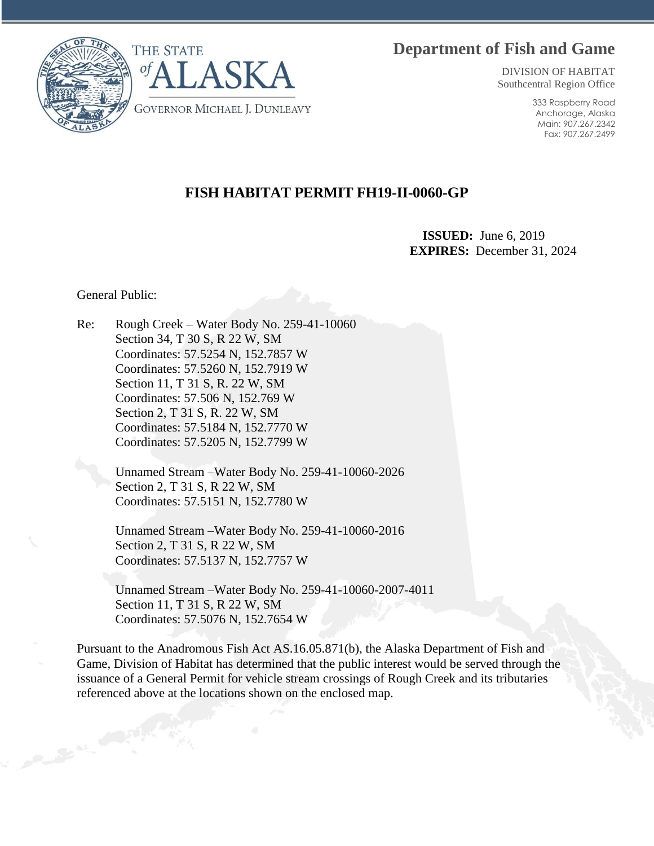# **Department of Fish and Game**



DIVISION OF HABITAT Southcentral Region Office

> 333 Raspberry Road Anchorage, Alaska Main: 907.267.2342 Fax: 907.267.2499

# **FISH HABITAT PERMIT FH19-II-0060-GP**

 **ISSUED:** June 6, 2019 **EXPIRES:** December 31, 2024

General Public:

Re: Rough Creek – Water Body No. 259-41-10060 Section 34, T 30 S, R 22 W, SM Coordinates: 57.5254 N, 152.7857 W Coordinates: 57.5260 N, 152.7919 W Section 11, T 31 S, R. 22 W, SM Coordinates: 57.506 N, 152.769 W Section 2, T 31 S, R. 22 W, SM Coordinates: 57.5184 N, 152.7770 W Coordinates: 57.5205 N, 152.7799 W

> Unnamed Stream –Water Body No. 259-41-10060-2026 Section 2, T 31 S, R 22 W, SM Coordinates: 57.5151 N, 152.7780 W

> Unnamed Stream –Water Body No. 259-41-10060-2016 Section 2, T 31 S, R 22 W, SM Coordinates: 57.5137 N, 152.7757 W

Unnamed Stream –Water Body No. 259-41-10060-2007-4011 Section 11, T 31 S, R 22 W, SM Coordinates: 57.5076 N, 152.7654 W

Pursuant to the Anadromous Fish Act AS.16.05.871(b), the Alaska Department of Fish and Game, Division of Habitat has determined that the public interest would be served through the issuance of a General Permit for vehicle stream crossings of Rough Creek and its tributaries referenced above at the locations shown on the enclosed map.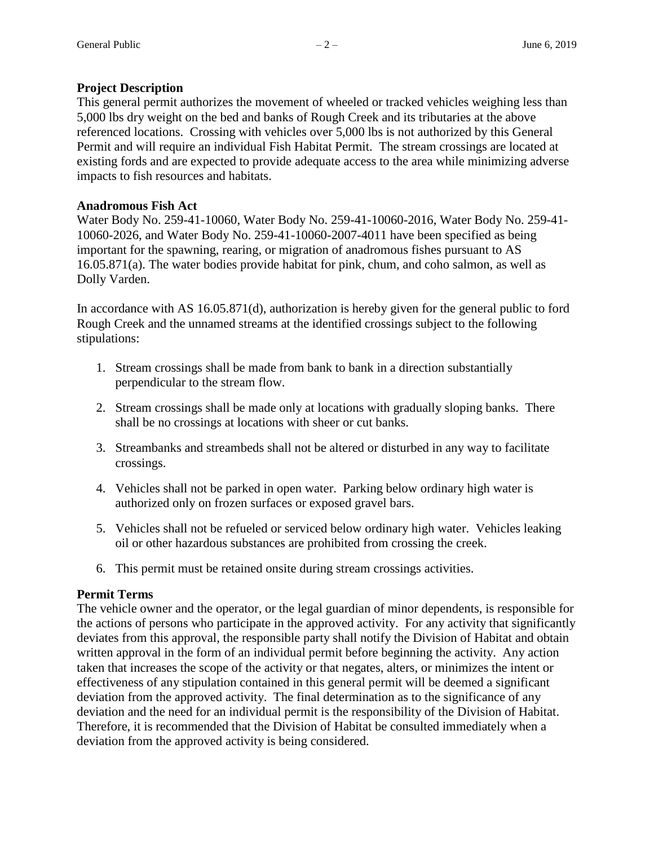### **Project Description**

This general permit authorizes the movement of wheeled or tracked vehicles weighing less than 5,000 lbs dry weight on the bed and banks of Rough Creek and its tributaries at the above referenced locations. Crossing with vehicles over 5,000 lbs is not authorized by this General Permit and will require an individual Fish Habitat Permit. The stream crossings are located at existing fords and are expected to provide adequate access to the area while minimizing adverse impacts to fish resources and habitats.

### **Anadromous Fish Act**

Water Body No. 259-41-10060, Water Body No. 259-41-10060-2016, Water Body No. 259-41- 10060-2026, and Water Body No. 259-41-10060-2007-4011 have been specified as being important for the spawning, rearing, or migration of anadromous fishes pursuant to AS 16.05.871(a). The water bodies provide habitat for pink, chum, and coho salmon, as well as Dolly Varden.

In accordance with AS 16.05.871(d), authorization is hereby given for the general public to ford Rough Creek and the unnamed streams at the identified crossings subject to the following stipulations:

- 1. Stream crossings shall be made from bank to bank in a direction substantially perpendicular to the stream flow.
- 2. Stream crossings shall be made only at locations with gradually sloping banks. There shall be no crossings at locations with sheer or cut banks.
- 3. Streambanks and streambeds shall not be altered or disturbed in any way to facilitate crossings.
- 4. Vehicles shall not be parked in open water. Parking below ordinary high water is authorized only on frozen surfaces or exposed gravel bars.
- 5. Vehicles shall not be refueled or serviced below ordinary high water. Vehicles leaking oil or other hazardous substances are prohibited from crossing the creek.
- 6. This permit must be retained onsite during stream crossings activities.

## **Permit Terms**

The vehicle owner and the operator, or the legal guardian of minor dependents, is responsible for the actions of persons who participate in the approved activity. For any activity that significantly deviates from this approval, the responsible party shall notify the Division of Habitat and obtain written approval in the form of an individual permit before beginning the activity. Any action taken that increases the scope of the activity or that negates, alters, or minimizes the intent or effectiveness of any stipulation contained in this general permit will be deemed a significant deviation from the approved activity. The final determination as to the significance of any deviation and the need for an individual permit is the responsibility of the Division of Habitat. Therefore, it is recommended that the Division of Habitat be consulted immediately when a deviation from the approved activity is being considered.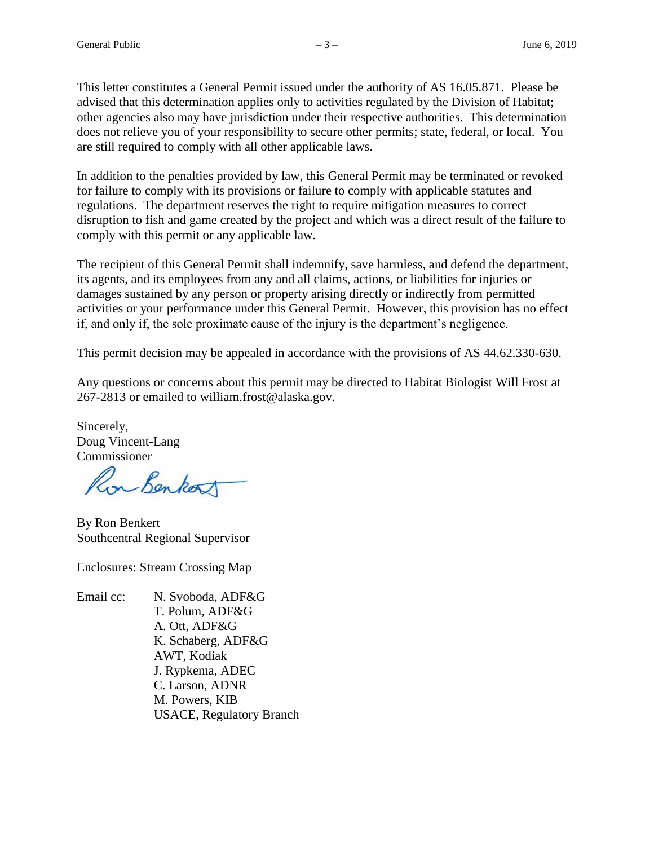This letter constitutes a General Permit issued under the authority of AS 16.05.871. Please be advised that this determination applies only to activities regulated by the Division of Habitat; other agencies also may have jurisdiction under their respective authorities. This determination does not relieve you of your responsibility to secure other permits; state, federal, or local. You are still required to comply with all other applicable laws.

In addition to the penalties provided by law, this General Permit may be terminated or revoked for failure to comply with its provisions or failure to comply with applicable statutes and regulations. The department reserves the right to require mitigation measures to correct disruption to fish and game created by the project and which was a direct result of the failure to comply with this permit or any applicable law.

The recipient of this General Permit shall indemnify, save harmless, and defend the department, its agents, and its employees from any and all claims, actions, or liabilities for injuries or damages sustained by any person or property arising directly or indirectly from permitted activities or your performance under this General Permit. However, this provision has no effect if, and only if, the sole proximate cause of the injury is the department's negligence.

This permit decision may be appealed in accordance with the provisions of AS 44.62.330-630.

Any questions or concerns about this permit may be directed to Habitat Biologist Will Frost at 267-2813 or emailed to william.frost@alaska.gov.

Sincerely, Doug Vincent-Lang Commissioner

Ron Benkort

By Ron Benkert Southcentral Regional Supervisor

Enclosures: Stream Crossing Map

Email cc: N. Svoboda, ADF&G T. Polum, ADF&G A. Ott, ADF&G K. Schaberg, ADF&G AWT, Kodiak J. Rypkema, ADEC C. Larson, ADNR M. Powers, KIB USACE, Regulatory Branch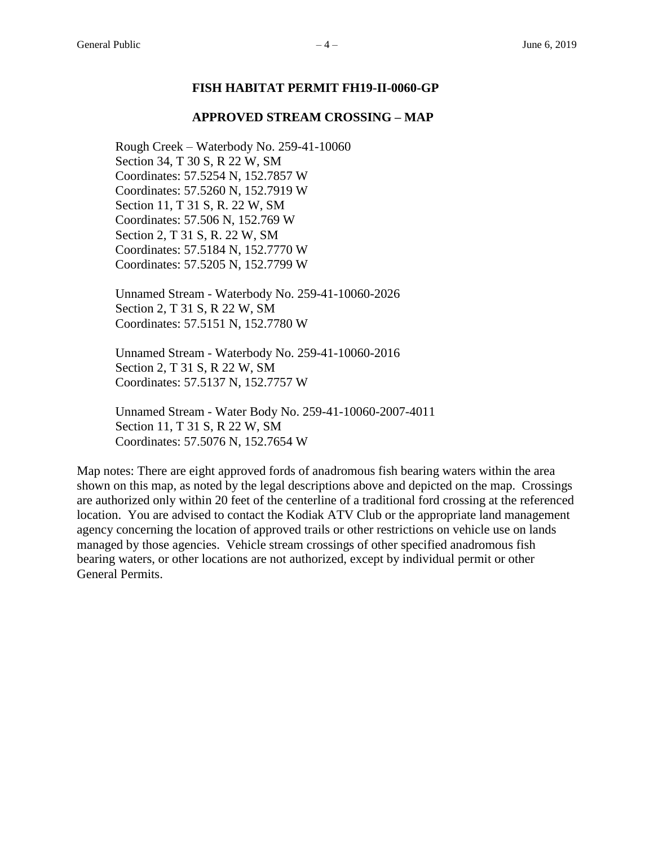#### **FISH HABITAT PERMIT FH19-II-0060-GP**

#### **APPROVED STREAM CROSSING – MAP**

Rough Creek – Waterbody No. 259-41-10060 Section 34, T 30 S, R 22 W, SM Coordinates: 57.5254 N, 152.7857 W Coordinates: 57.5260 N, 152.7919 W Section 11, T 31 S, R. 22 W, SM Coordinates: 57.506 N, 152.769 W Section 2, T 31 S, R. 22 W, SM Coordinates: 57.5184 N, 152.7770 W Coordinates: 57.5205 N, 152.7799 W

Unnamed Stream - Waterbody No. 259-41-10060-2026 Section 2, T 31 S, R 22 W, SM Coordinates: 57.5151 N, 152.7780 W

Unnamed Stream - Waterbody No. 259-41-10060-2016 Section 2, T 31 S, R 22 W, SM Coordinates: 57.5137 N, 152.7757 W

Unnamed Stream - Water Body No. 259-41-10060-2007-4011 Section 11, T 31 S, R 22 W, SM Coordinates: 57.5076 N, 152.7654 W

Map notes: There are eight approved fords of anadromous fish bearing waters within the area shown on this map, as noted by the legal descriptions above and depicted on the map. Crossings are authorized only within 20 feet of the centerline of a traditional ford crossing at the referenced location. You are advised to contact the Kodiak ATV Club or the appropriate land management agency concerning the location of approved trails or other restrictions on vehicle use on lands managed by those agencies. Vehicle stream crossings of other specified anadromous fish bearing waters, or other locations are not authorized, except by individual permit or other General Permits.